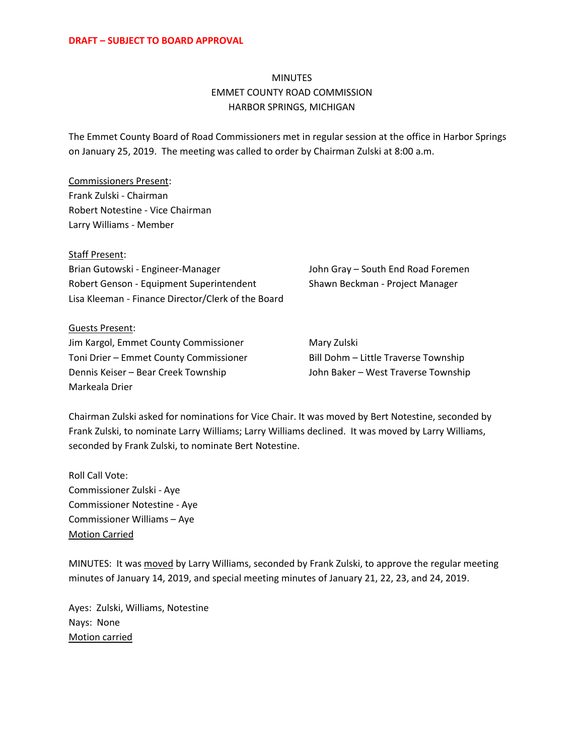## MINUTES EMMET COUNTY ROAD COMMISSION HARBOR SPRINGS, MICHIGAN

The Emmet County Board of Road Commissioners met in regular session at the office in Harbor Springs on January 25, 2019. The meeting was called to order by Chairman Zulski at 8:00 a.m.

Commissioners Present: Frank Zulski - Chairman Robert Notestine - Vice Chairman Larry Williams - Member

Staff Present: Brian Gutowski - Engineer-Manager John Gray – South End Road Foremen Robert Genson - Equipment Superintendent Shawn Beckman - Project Manager Lisa Kleeman - Finance Director/Clerk of the Board

Guests Present: Jim Kargol, Emmet County Commissioner Mary Zulski Toni Drier – Emmet County Commissioner Bill Dohm – Little Traverse Township Dennis Keiser – Bear Creek Township John Baker – West Traverse Township Markeala Drier

Chairman Zulski asked for nominations for Vice Chair. It was moved by Bert Notestine, seconded by Frank Zulski, to nominate Larry Williams; Larry Williams declined. It was moved by Larry Williams, seconded by Frank Zulski, to nominate Bert Notestine.

Roll Call Vote: Commissioner Zulski - Aye Commissioner Notestine - Aye Commissioner Williams – Aye Motion Carried

MINUTES: It was moved by Larry Williams, seconded by Frank Zulski, to approve the regular meeting minutes of January 14, 2019, and special meeting minutes of January 21, 22, 23, and 24, 2019.

Ayes: Zulski, Williams, Notestine Nays: None Motion carried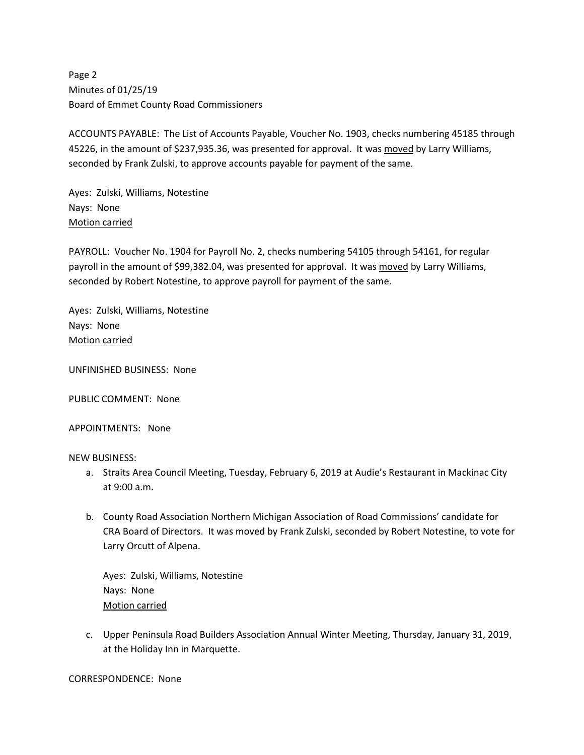Page 2 Minutes of 01/25/19 Board of Emmet County Road Commissioners

ACCOUNTS PAYABLE: The List of Accounts Payable, Voucher No. 1903, checks numbering 45185 through 45226, in the amount of \$237,935.36, was presented for approval. It was moved by Larry Williams, seconded by Frank Zulski, to approve accounts payable for payment of the same.

Ayes: Zulski, Williams, Notestine Nays: None Motion carried

PAYROLL: Voucher No. 1904 for Payroll No. 2, checks numbering 54105 through 54161, for regular payroll in the amount of \$99,382.04, was presented for approval. It was moved by Larry Williams, seconded by Robert Notestine, to approve payroll for payment of the same.

Ayes: Zulski, Williams, Notestine Nays: None Motion carried

UNFINISHED BUSINESS: None

PUBLIC COMMENT: None

APPOINTMENTS: None

NEW BUSINESS:

- a. Straits Area Council Meeting, Tuesday, February 6, 2019 at Audie's Restaurant in Mackinac City at 9:00 a.m.
- b. County Road Association Northern Michigan Association of Road Commissions' candidate for CRA Board of Directors. It was moved by Frank Zulski, seconded by Robert Notestine, to vote for Larry Orcutt of Alpena.

Ayes: Zulski, Williams, Notestine Nays: None Motion carried

c. Upper Peninsula Road Builders Association Annual Winter Meeting, Thursday, January 31, 2019, at the Holiday Inn in Marquette.

CORRESPONDENCE: None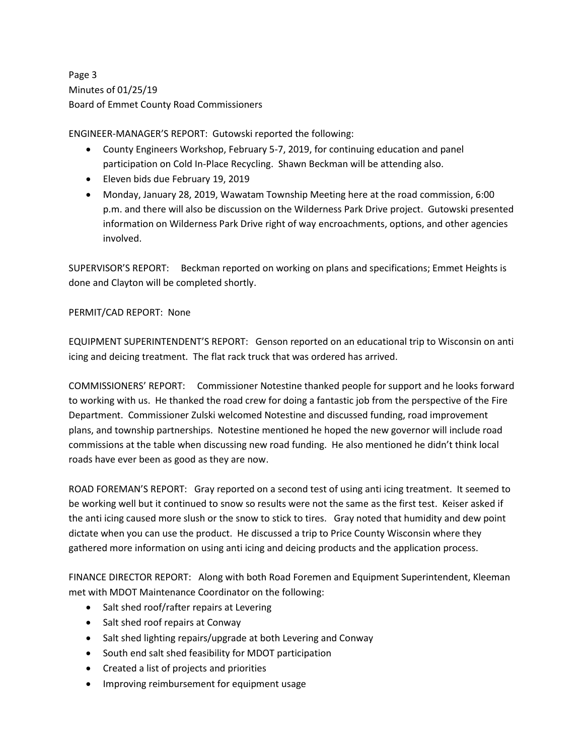Page 3 Minutes of 01/25/19 Board of Emmet County Road Commissioners

ENGINEER-MANAGER'S REPORT: Gutowski reported the following:

- County Engineers Workshop, February 5-7, 2019, for continuing education and panel participation on Cold In-Place Recycling. Shawn Beckman will be attending also.
- Eleven bids due February 19, 2019
- Monday, January 28, 2019, Wawatam Township Meeting here at the road commission, 6:00 p.m. and there will also be discussion on the Wilderness Park Drive project. Gutowski presented information on Wilderness Park Drive right of way encroachments, options, and other agencies involved.

SUPERVISOR'S REPORT: Beckman reported on working on plans and specifications; Emmet Heights is done and Clayton will be completed shortly.

## PERMIT/CAD REPORT: None

EQUIPMENT SUPERINTENDENT'S REPORT: Genson reported on an educational trip to Wisconsin on anti icing and deicing treatment. The flat rack truck that was ordered has arrived.

COMMISSIONERS' REPORT: Commissioner Notestine thanked people for support and he looks forward to working with us. He thanked the road crew for doing a fantastic job from the perspective of the Fire Department. Commissioner Zulski welcomed Notestine and discussed funding, road improvement plans, and township partnerships. Notestine mentioned he hoped the new governor will include road commissions at the table when discussing new road funding. He also mentioned he didn't think local roads have ever been as good as they are now.

ROAD FOREMAN'S REPORT: Gray reported on a second test of using anti icing treatment. It seemed to be working well but it continued to snow so results were not the same as the first test. Keiser asked if the anti icing caused more slush or the snow to stick to tires. Gray noted that humidity and dew point dictate when you can use the product. He discussed a trip to Price County Wisconsin where they gathered more information on using anti icing and deicing products and the application process.

FINANCE DIRECTOR REPORT: Along with both Road Foremen and Equipment Superintendent, Kleeman met with MDOT Maintenance Coordinator on the following:

- Salt shed roof/rafter repairs at Levering
- Salt shed roof repairs at Conway
- Salt shed lighting repairs/upgrade at both Levering and Conway
- South end salt shed feasibility for MDOT participation
- Created a list of projects and priorities
- Improving reimbursement for equipment usage